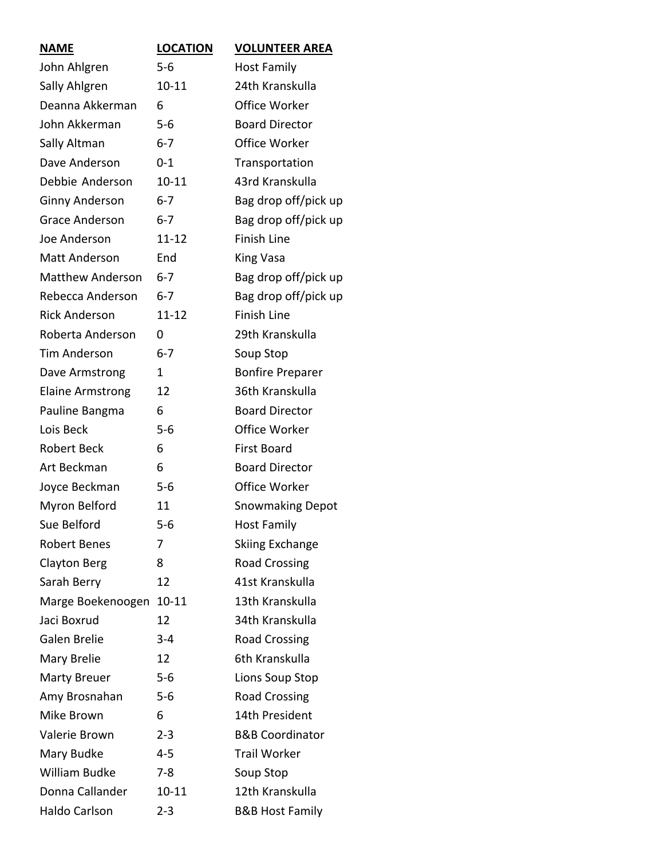| <b>NAME</b>             | <b>LOCATION</b> | <b>VOLUNTEER AREA</b>      |
|-------------------------|-----------------|----------------------------|
| John Ahlgren            | $5-6$           | <b>Host Family</b>         |
| Sally Ahlgren           | $10 - 11$       | 24th Kranskulla            |
| Deanna Akkerman         | 6               | Office Worker              |
| John Akkerman           | $5 - 6$         | <b>Board Director</b>      |
| Sally Altman            | $6 - 7$         | Office Worker              |
| Dave Anderson           | $0 - 1$         | Transportation             |
| Debbie Anderson         | $10 - 11$       | 43rd Kranskulla            |
| <b>Ginny Anderson</b>   | $6 - 7$         | Bag drop off/pick up       |
| <b>Grace Anderson</b>   | $6 - 7$         | Bag drop off/pick up       |
| Joe Anderson            | $11 - 12$       | Finish Line                |
| Matt Anderson           | End             | King Vasa                  |
| <b>Matthew Anderson</b> | $6 - 7$         | Bag drop off/pick up       |
| Rebecca Anderson        | $6 - 7$         | Bag drop off/pick up       |
| <b>Rick Anderson</b>    | $11 - 12$       | <b>Finish Line</b>         |
| Roberta Anderson        | 0               | 29th Kranskulla            |
| <b>Tim Anderson</b>     | $6 - 7$         | Soup Stop                  |
| Dave Armstrong          | 1               | <b>Bonfire Preparer</b>    |
| <b>Elaine Armstrong</b> | 12              | 36th Kranskulla            |
| Pauline Bangma          | 6               | <b>Board Director</b>      |
| Lois Beck               | $5 - 6$         | Office Worker              |
| <b>Robert Beck</b>      | 6               | <b>First Board</b>         |
| Art Beckman             | 6               | <b>Board Director</b>      |
| Joyce Beckman           | $5 - 6$         | Office Worker              |
| Myron Belford           | 11              | <b>Snowmaking Depot</b>    |
| Sue Belford             | $5 - 6$         | Host Family                |
| Robert Benes            | 7               | <b>Skiing Exchange</b>     |
| Clayton Berg            | 8               | <b>Road Crossing</b>       |
| Sarah Berry             | 12              | 41st Kranskulla            |
| Marge Boekenoogen       | $10 - 11$       | 13th Kranskulla            |
| Jaci Boxrud             | 12              | 34th Kranskulla            |
| Galen Brelie            | 3-4             | <b>Road Crossing</b>       |
| Mary Brelie             | 12              | 6th Kranskulla             |
| <b>Marty Breuer</b>     | $5 - 6$         | Lions Soup Stop            |
| Amy Brosnahan           | $5 - 6$         | <b>Road Crossing</b>       |
| Mike Brown              | 6               | 14th President             |
| Valerie Brown           | $2 - 3$         | <b>B&amp;B Coordinator</b> |
| Mary Budke              | $4 - 5$         | <b>Trail Worker</b>        |
| William Budke           | $7 - 8$         | Soup Stop                  |
| Donna Callander         | $10 - 11$       | 12th Kranskulla            |
| Haldo Carlson           | $2 - 3$         | <b>B&amp;B Host Family</b> |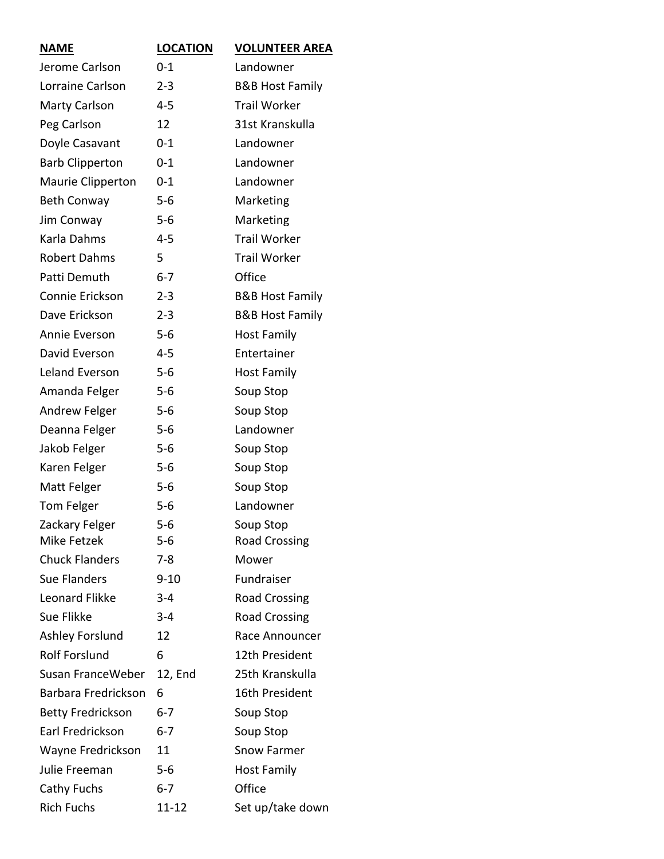| <b>NAME</b>              | <b>LOCATION</b> | <b>VOLUNTEER AREA</b>      |
|--------------------------|-----------------|----------------------------|
| Jerome Carlson           | $0 - 1$         | Landowner                  |
| Lorraine Carlson         | $2 - 3$         | <b>B&amp;B Host Family</b> |
| Marty Carlson            | $4 - 5$         | <b>Trail Worker</b>        |
| Peg Carlson              | 12              | 31st Kranskulla            |
| Doyle Casavant           | $0 - 1$         | Landowner                  |
| <b>Barb Clipperton</b>   | $0 - 1$         | Landowner                  |
| Maurie Clipperton        | $0 - 1$         | Landowner                  |
| <b>Beth Conway</b>       | $5 - 6$         | Marketing                  |
| Jim Conway               | $5 - 6$         | Marketing                  |
| Karla Dahms              | 4-5             | <b>Trail Worker</b>        |
| <b>Robert Dahms</b>      | 5               | <b>Trail Worker</b>        |
| Patti Demuth             | $6 - 7$         | Office                     |
| Connie Erickson          | $2 - 3$         | <b>B&amp;B Host Family</b> |
| Dave Erickson            | $2 - 3$         | <b>B&amp;B Host Family</b> |
| Annie Everson            | $5-6$           | <b>Host Family</b>         |
| David Everson            | $4 - 5$         | Entertainer                |
| Leland Everson           | $5-6$           | <b>Host Family</b>         |
| Amanda Felger            | $5 - 6$         | Soup Stop                  |
| Andrew Felger            | $5 - 6$         | Soup Stop                  |
| Deanna Felger            | $5-6$           | Landowner                  |
| Jakob Felger             | $5 - 6$         | Soup Stop                  |
| Karen Felger             | $5-6$           | Soup Stop                  |
| Matt Felger              | $5-6$           | Soup Stop                  |
| Tom Felger               | $5 - 6$         | Landowner                  |
| Zackary Felger           | $5 - 6$         | Soup Stop                  |
| Mike Fetzek              | $5 - 6$         | <b>Road Crossing</b>       |
| <b>Chuck Flanders</b>    | 7-8             | Mower                      |
| <b>Sue Flanders</b>      | $9 - 10$        | Fundraiser                 |
| Leonard Flikke           | $3 - 4$         | <b>Road Crossing</b>       |
| Sue Flikke               | $3 - 4$         | <b>Road Crossing</b>       |
| <b>Ashley Forslund</b>   | 12              | Race Announcer             |
| <b>Rolf Forslund</b>     | 6               | 12th President             |
| Susan FranceWeber        | 12, End         | 25th Kranskulla            |
| Barbara Fredrickson      | 6               | 16th President             |
| <b>Betty Fredrickson</b> | $6 - 7$         | Soup Stop                  |
| Earl Fredrickson         | $6 - 7$         | Soup Stop                  |
| Wayne Fredrickson        | 11              | Snow Farmer                |
| Julie Freeman            | 5-6             | <b>Host Family</b>         |
| Cathy Fuchs              | $6 - 7$         | Office                     |
| <b>Rich Fuchs</b>        | 11-12           | Set up/take down           |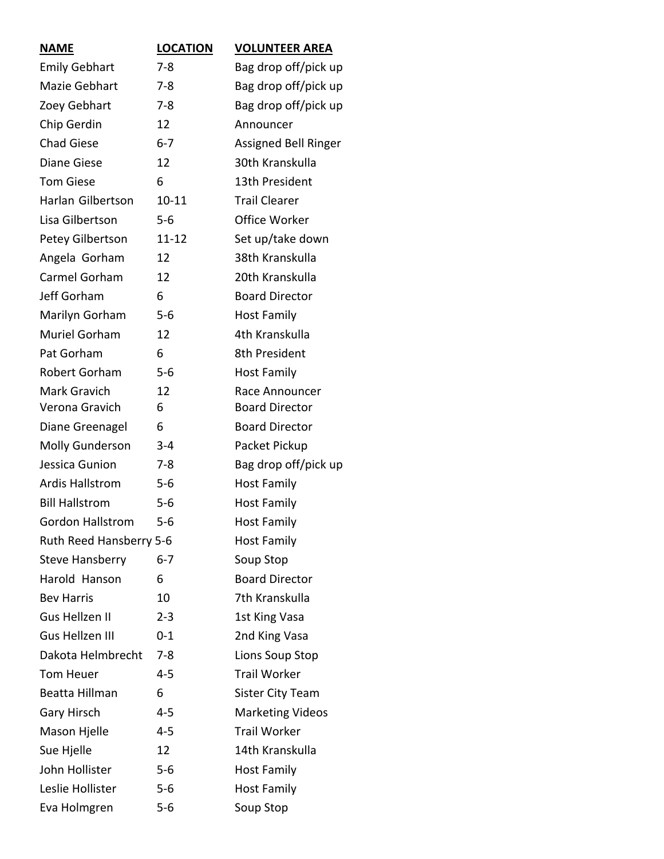| <b>NAME</b>             | <b>LOCATION</b> | <b>VOLUNTEER AREA</b>   |
|-------------------------|-----------------|-------------------------|
| <b>Emily Gebhart</b>    | $7-8$           | Bag drop off/pick up    |
| Mazie Gebhart           | $7 - 8$         | Bag drop off/pick up    |
| Zoey Gebhart            | $7 - 8$         | Bag drop off/pick up    |
| Chip Gerdin             | 12              | Announcer               |
| <b>Chad Giese</b>       | $6 - 7$         | Assigned Bell Ringer    |
| Diane Giese             | 12              | 30th Kranskulla         |
| <b>Tom Giese</b>        | 6               | 13th President          |
| Harlan Gilbertson       | $10 - 11$       | <b>Trail Clearer</b>    |
| Lisa Gilbertson         | $5-6$           | Office Worker           |
| Petey Gilbertson        | 11-12           | Set up/take down        |
| Angela Gorham           | 12              | 38th Kranskulla         |
| Carmel Gorham           | 12              | 20th Kranskulla         |
| Jeff Gorham             | 6               | <b>Board Director</b>   |
| Marilyn Gorham          | $5 - 6$         | <b>Host Family</b>      |
| <b>Muriel Gorham</b>    | 12              | 4th Kranskulla          |
| Pat Gorham              | 6               | 8th President           |
| Robert Gorham           | $5 - 6$         | <b>Host Family</b>      |
| Mark Gravich            | 12              | Race Announcer          |
| Verona Gravich          | 6               | <b>Board Director</b>   |
| Diane Greenagel         | 6               | <b>Board Director</b>   |
| <b>Molly Gunderson</b>  | $3 - 4$         | Packet Pickup           |
| Jessica Gunion          | $7 - 8$         | Bag drop off/pick up    |
| <b>Ardis Hallstrom</b>  | $5-6$           | <b>Host Family</b>      |
| <b>Bill Hallstrom</b>   | $5-6$           | <b>Host Family</b>      |
| Gordon Hallstrom        | $5 - 6$         | <b>Host Family</b>      |
| Ruth Reed Hansberry 5-6 |                 | <b>Host Family</b>      |
| <b>Steve Hansberry</b>  | $6 - 7$         | Soup Stop               |
| Harold Hanson           | 6               | <b>Board Director</b>   |
| <b>Bev Harris</b>       | 10              | 7th Kranskulla          |
| Gus Hellzen II          | $2 - 3$         | 1st King Vasa           |
| <b>Gus Hellzen III</b>  | $0 - 1$         | 2nd King Vasa           |
| Dakota Helmbrecht       | $7 - 8$         | Lions Soup Stop         |
| Tom Heuer               | $4 - 5$         | <b>Trail Worker</b>     |
| Beatta Hillman          | 6               | <b>Sister City Team</b> |
| <b>Gary Hirsch</b>      | $4 - 5$         | <b>Marketing Videos</b> |
| Mason Hjelle            | 4-5             | <b>Trail Worker</b>     |
| Sue Hjelle              | 12              | 14th Kranskulla         |
| John Hollister          | $5 - 6$         | <b>Host Family</b>      |
| Leslie Hollister        | $5 - 6$         | <b>Host Family</b>      |
| Eva Holmgren            | $5-6$           | Soup Stop               |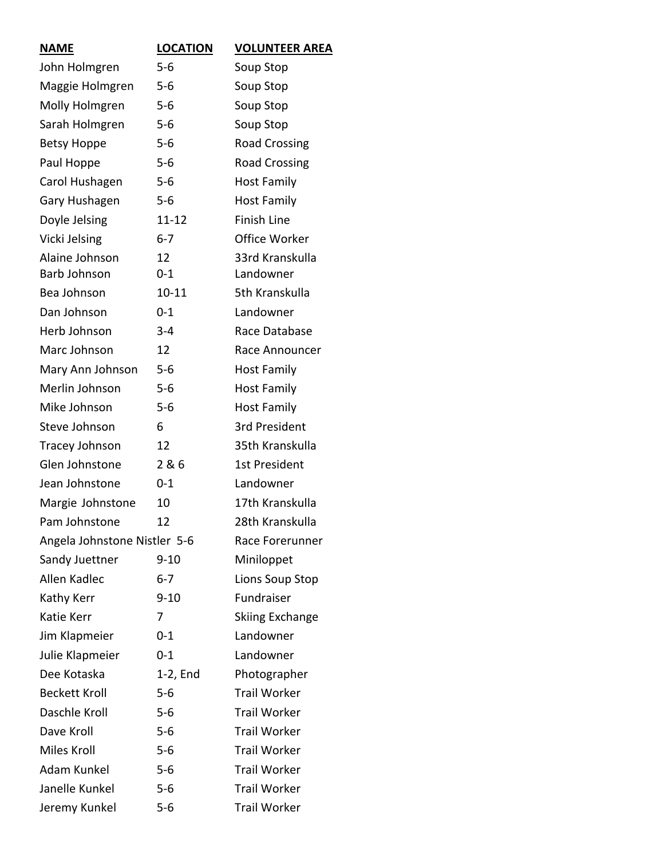| <b>NAME</b>                  | <b>LOCATION</b> | <b>VOLUNTEER AREA</b>  |
|------------------------------|-----------------|------------------------|
| John Holmgren                | $5 - 6$         | Soup Stop              |
| Maggie Holmgren              | $5 - 6$         | Soup Stop              |
| Molly Holmgren               | $5-6$           | Soup Stop              |
| Sarah Holmgren               | 5-6             | Soup Stop              |
| <b>Betsy Hoppe</b>           | $5 - 6$         | <b>Road Crossing</b>   |
| Paul Hoppe                   | $5 - 6$         | <b>Road Crossing</b>   |
| Carol Hushagen               | $5 - 6$         | <b>Host Family</b>     |
| Gary Hushagen                | $5-6$           | <b>Host Family</b>     |
| Doyle Jelsing                | $11 - 12$       | <b>Finish Line</b>     |
| Vicki Jelsing                | $6 - 7$         | Office Worker          |
| Alaine Johnson               | 12              | 33rd Kranskulla        |
| Barb Johnson                 | $0 - 1$         | Landowner              |
| Bea Johnson                  | $10 - 11$       | 5th Kranskulla         |
| Dan Johnson                  | $0 - 1$         | Landowner              |
| Herb Johnson                 | $3 - 4$         | Race Database          |
| Marc Johnson                 | 12              | Race Announcer         |
| Mary Ann Johnson             | $5 - 6$         | <b>Host Family</b>     |
| Merlin Johnson               | $5 - 6$         | <b>Host Family</b>     |
| Mike Johnson                 | $5 - 6$         | <b>Host Family</b>     |
| Steve Johnson                | 6               | 3rd President          |
| Tracey Johnson               | 12              | 35th Kranskulla        |
| Glen Johnstone               | 2 & 6           | 1st President          |
| Jean Johnstone               | $0 - 1$         | Landowner              |
| Margie Johnstone             | 10              | 17th Kranskulla        |
| Pam Johnstone                | 12              | 28th Kranskulla        |
| Angela Johnstone Nistler 5-6 |                 | Race Forerunner        |
| Sandy Juettner               | $9 - 10$        | Miniloppet             |
| Allen Kadlec                 | $6 - 7$         | Lions Soup Stop        |
| Kathy Kerr                   | $9 - 10$        | Fundraiser             |
| Katie Kerr                   | 7               | <b>Skiing Exchange</b> |
| Jim Klapmeier                | $0 - 1$         | Landowner              |
| Julie Klapmeier              | $0 - 1$         | Landowner              |
| Dee Kotaska                  | $1-2$ , End     | Photographer           |
| <b>Beckett Kroll</b>         | $5 - 6$         | <b>Trail Worker</b>    |
| Daschle Kroll                | $5 - 6$         | <b>Trail Worker</b>    |
| Dave Kroll                   | $5-6$           | <b>Trail Worker</b>    |
| Miles Kroll                  | $5-6$           | <b>Trail Worker</b>    |
| Adam Kunkel                  | $5 - 6$         | <b>Trail Worker</b>    |
| Janelle Kunkel               | $5 - 6$         | <b>Trail Worker</b>    |
| Jeremy Kunkel                | $5 - 6$         | <b>Trail Worker</b>    |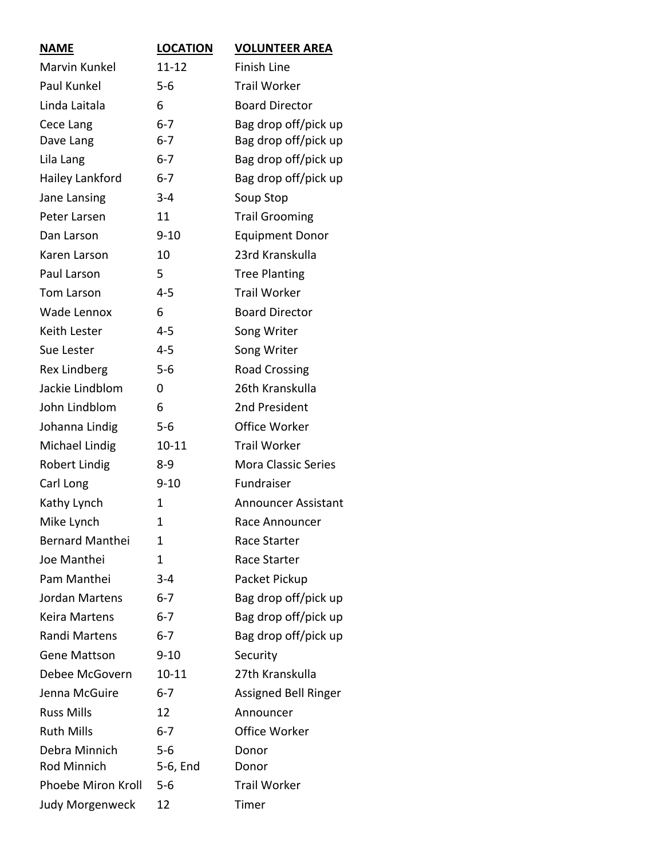| <b>NAME</b>            | <b>LOCATION</b> | <b>VOLUNTEER AREA</b>      |
|------------------------|-----------------|----------------------------|
| Marvin Kunkel          | $11 - 12$       | <b>Finish Line</b>         |
| Paul Kunkel            | $5 - 6$         | <b>Trail Worker</b>        |
| Linda Laitala          | 6               | <b>Board Director</b>      |
| Cece Lang              | $6 - 7$         | Bag drop off/pick up       |
| Dave Lang              | $6 - 7$         | Bag drop off/pick up       |
| Lila Lang              | $6 - 7$         | Bag drop off/pick up       |
| Hailey Lankford        | $6 - 7$         | Bag drop off/pick up       |
| Jane Lansing           | $3 - 4$         | Soup Stop                  |
| Peter Larsen           | 11              | <b>Trail Grooming</b>      |
| Dan Larson             | $9 - 10$        | <b>Equipment Donor</b>     |
| Karen Larson           | 10              | 23rd Kranskulla            |
| Paul Larson            | 5               | <b>Tree Planting</b>       |
| Tom Larson             | $4 - 5$         | <b>Trail Worker</b>        |
| Wade Lennox            | 6               | <b>Board Director</b>      |
| Keith Lester           | $4 - 5$         | Song Writer                |
| Sue Lester             | $4 - 5$         | Song Writer                |
| <b>Rex Lindberg</b>    | $5 - 6$         | <b>Road Crossing</b>       |
| Jackie Lindblom        | 0               | 26th Kranskulla            |
| John Lindblom          | 6               | 2nd President              |
| Johanna Lindig         | $5-6$           | Office Worker              |
| Michael Lindig         | $10 - 11$       | <b>Trail Worker</b>        |
| <b>Robert Lindig</b>   | $8 - 9$         | <b>Mora Classic Series</b> |
| Carl Long              | $9 - 10$        | Fundraiser                 |
| Kathy Lynch            | 1               | <b>Announcer Assistant</b> |
| Mike Lynch             | 1               | Race Announcer             |
| <b>Bernard Manthei</b> | 1               | Race Starter               |
| Joe Manthei            | 1               | Race Starter               |
| Pam Manthei            | $3 - 4$         | Packet Pickup              |
| Jordan Martens         | $6 - 7$         | Bag drop off/pick up       |
| <b>Keira Martens</b>   | $6 - 7$         | Bag drop off/pick up       |
| Randi Martens          | $6 - 7$         | Bag drop off/pick up       |
| <b>Gene Mattson</b>    | $9 - 10$        | Security                   |
| Debee McGovern         | $10 - 11$       | 27th Kranskulla            |
| Jenna McGuire          | $6 - 7$         | Assigned Bell Ringer       |
| <b>Russ Mills</b>      | 12              | Announcer                  |
| <b>Ruth Mills</b>      | $6 - 7$         | Office Worker              |
| Debra Minnich          | $5 - 6$         | Donor                      |
| Rod Minnich            | 5-6, End        | Donor                      |
| Phoebe Miron Kroll     | $5 - 6$         | <b>Trail Worker</b>        |
| <b>Judy Morgenweck</b> | 12              | Timer                      |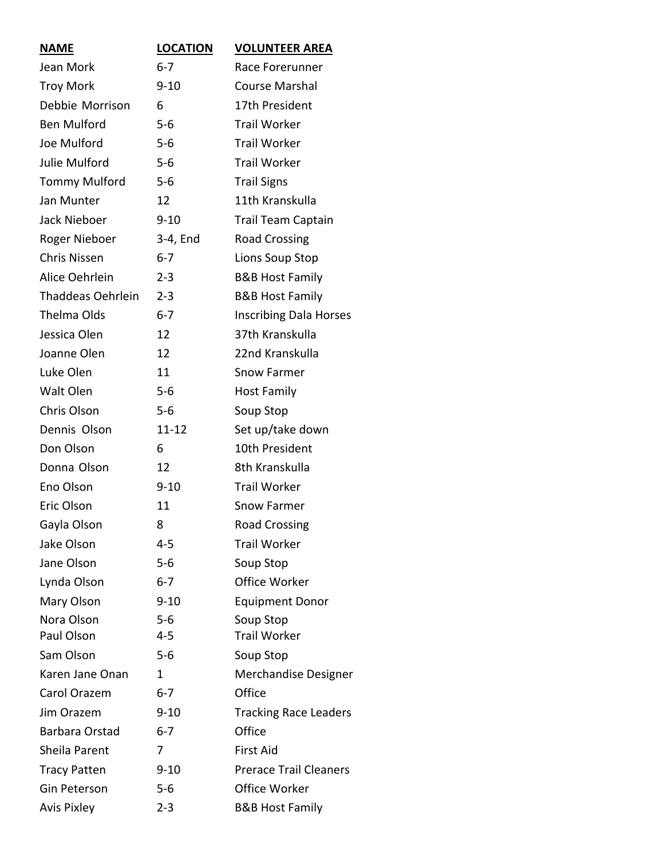| <b>NAME</b>              | <b>LOCATION</b> | <b>VOLUNTEER AREA</b>         |
|--------------------------|-----------------|-------------------------------|
| Jean Mork                | $6 - 7$         | Race Forerunner               |
| <b>Troy Mork</b>         | $9 - 10$        | <b>Course Marshal</b>         |
| Debbie Morrison          | 6               | 17th President                |
| <b>Ben Mulford</b>       | $5 - 6$         | <b>Trail Worker</b>           |
| Joe Mulford              | $5 - 6$         | <b>Trail Worker</b>           |
| Julie Mulford            | $5-6$           | <b>Trail Worker</b>           |
| <b>Tommy Mulford</b>     | $5-6$           | <b>Trail Signs</b>            |
| Jan Munter               | 12              | 11th Kranskulla               |
| Jack Nieboer             | $9 - 10$        | <b>Trail Team Captain</b>     |
| Roger Nieboer            | 3-4, End        | <b>Road Crossing</b>          |
| <b>Chris Nissen</b>      | $6 - 7$         | Lions Soup Stop               |
| Alice Oehrlein           | $2 - 3$         | <b>B&amp;B Host Family</b>    |
| <b>Thaddeas Oehrlein</b> | $2 - 3$         | <b>B&amp;B Host Family</b>    |
| <b>Thelma Olds</b>       | $6 - 7$         | <b>Inscribing Dala Horses</b> |
| Jessica Olen             | 12              | 37th Kranskulla               |
| Joanne Olen              | 12              | 22nd Kranskulla               |
| Luke Olen                | 11              | <b>Snow Farmer</b>            |
| Walt Olen                | $5-6$           | <b>Host Family</b>            |
| Chris Olson              | $5-6$           | Soup Stop                     |
| Dennis Olson             | $11 - 12$       | Set up/take down              |
| Don Olson                | 6               | 10th President                |
| Donna Olson              | 12              | 8th Kranskulla                |
| Eno Olson                | $9 - 10$        | <b>Trail Worker</b>           |
| Eric Olson               | 11              | Snow Farmer                   |
| Gayla Olson              | 8               | <b>Road Crossing</b>          |
| Jake Olson               | 4-5             | <b>Trail Worker</b>           |
| Jane Olson               | $5-6$           | Soup Stop                     |
| Lynda Olson              | $6 - 7$         | Office Worker                 |
| Mary Olson               | $9 - 10$        | <b>Equipment Donor</b>        |
| Nora Olson               | $5 - 6$         | Soup Stop                     |
| Paul Olson               | $4 - 5$         | <b>Trail Worker</b>           |
| Sam Olson                | $5 - 6$         | Soup Stop                     |
| Karen Jane Onan          | $\mathbf 1$     | Merchandise Designer          |
| Carol Orazem             | $6 - 7$         | Office                        |
| Jim Orazem               | $9 - 10$        | <b>Tracking Race Leaders</b>  |
| Barbara Orstad           | $6 - 7$         | Office                        |
| Sheila Parent            | 7               | <b>First Aid</b>              |
| <b>Tracy Patten</b>      | $9 - 10$        | <b>Prerace Trail Cleaners</b> |
| Gin Peterson             | $5 - 6$         | <b>Office Worker</b>          |
| <b>Avis Pixley</b>       | $2 - 3$         | <b>B&amp;B Host Family</b>    |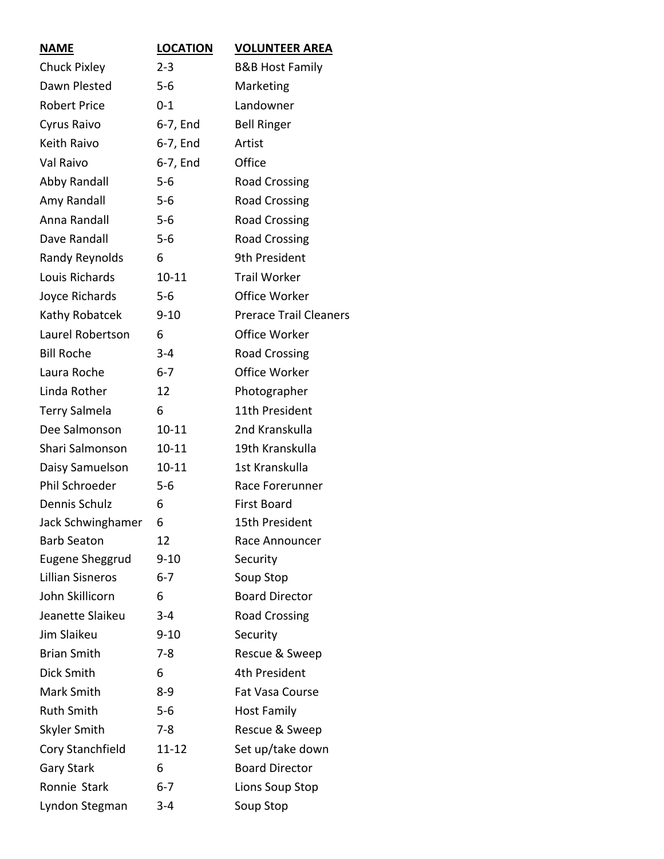| <b>NAME</b>             | <b>LOCATION</b> | <b>VOLUNTEER AREA</b>         |
|-------------------------|-----------------|-------------------------------|
| <b>Chuck Pixley</b>     | $2 - 3$         | <b>B&amp;B Host Family</b>    |
| Dawn Plested            | $5-6$           | Marketing                     |
| <b>Robert Price</b>     | $0 - 1$         | Landowner                     |
| Cyrus Raivo             | 6-7, End        | <b>Bell Ringer</b>            |
| Keith Raivo             | 6-7, End        | Artist                        |
| Val Raivo               | 6-7, End        | Office                        |
| Abby Randall            | $5 - 6$         | <b>Road Crossing</b>          |
| Amy Randall             | $5 - 6$         | <b>Road Crossing</b>          |
| Anna Randall            | $5 - 6$         | <b>Road Crossing</b>          |
| Dave Randall            | $5 - 6$         | <b>Road Crossing</b>          |
| Randy Reynolds          | 6               | 9th President                 |
| Louis Richards          | $10 - 11$       | <b>Trail Worker</b>           |
| Joyce Richards          | $5 - 6$         | Office Worker                 |
| Kathy Robatcek          | $9 - 10$        | <b>Prerace Trail Cleaners</b> |
| Laurel Robertson        | 6               | <b>Office Worker</b>          |
| <b>Bill Roche</b>       | $3 - 4$         | <b>Road Crossing</b>          |
| Laura Roche             | $6 - 7$         | <b>Office Worker</b>          |
| Linda Rother            | 12              | Photographer                  |
| <b>Terry Salmela</b>    | 6               | 11th President                |
| Dee Salmonson           | $10 - 11$       | 2nd Kranskulla                |
| Shari Salmonson         | $10 - 11$       | 19th Kranskulla               |
| Daisy Samuelson         | $10 - 11$       | 1st Kranskulla                |
| Phil Schroeder          | $5 - 6$         | Race Forerunner               |
| Dennis Schulz           | 6               | <b>First Board</b>            |
| Jack Schwinghamer       | 6               | 15th President                |
| <b>Barb Seaton</b>      | 12              | Race Announcer                |
| <b>Eugene Sheggrud</b>  | $9 - 10$        | Security                      |
| <b>Lillian Sisneros</b> | $6 - 7$         | Soup Stop                     |
| John Skillicorn         | 6               | <b>Board Director</b>         |
| Jeanette Slaikeu        | $3 - 4$         | <b>Road Crossing</b>          |
| Jim Slaikeu             | $9 - 10$        | Security                      |
| <b>Brian Smith</b>      | $7 - 8$         | Rescue & Sweep                |
| Dick Smith              | 6               | 4th President                 |
| Mark Smith              | $8 - 9$         | Fat Vasa Course               |
| <b>Ruth Smith</b>       | $5 - 6$         | <b>Host Family</b>            |
| Skyler Smith            | $7-8$           | Rescue & Sweep                |
| Cory Stanchfield        | $11 - 12$       | Set up/take down              |
| <b>Gary Stark</b>       | 6               | <b>Board Director</b>         |
| Ronnie Stark            | $6 - 7$         | Lions Soup Stop               |
| Lyndon Stegman          | $3 - 4$         | Soup Stop                     |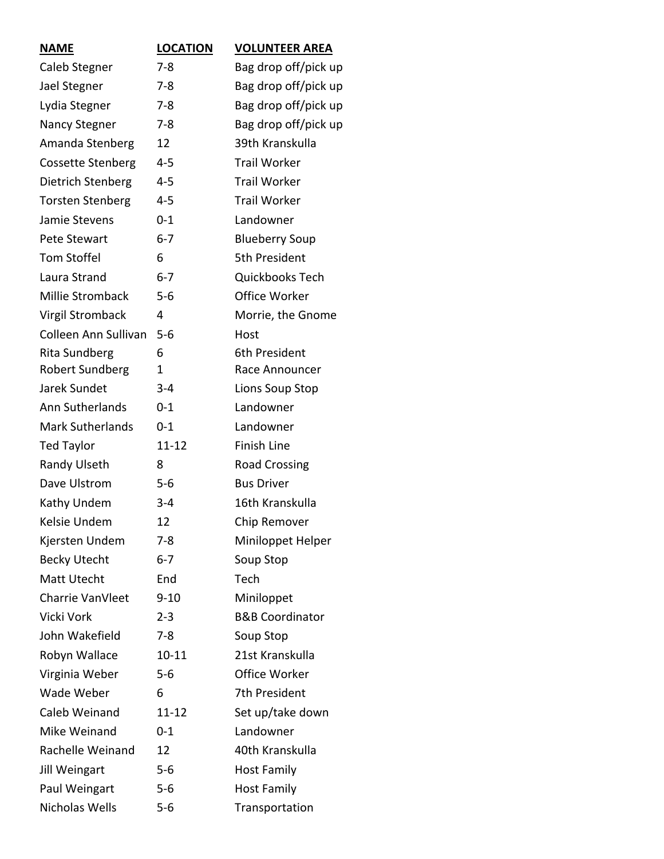| <b>NAME</b>              | <b>LOCATION</b> | <b>VOLUNTEER AREA</b>      |
|--------------------------|-----------------|----------------------------|
| Caleb Stegner            | $7 - 8$         | Bag drop off/pick up       |
| Jael Stegner             | $7 - 8$         | Bag drop off/pick up       |
| Lydia Stegner            | $7 - 8$         | Bag drop off/pick up       |
| Nancy Stegner            | $7 - 8$         | Bag drop off/pick up       |
| Amanda Stenberg          | 12              | 39th Kranskulla            |
| <b>Cossette Stenberg</b> | 4-5             | <b>Trail Worker</b>        |
| Dietrich Stenberg        | $4 - 5$         | <b>Trail Worker</b>        |
| <b>Torsten Stenberg</b>  | 4-5             | <b>Trail Worker</b>        |
| Jamie Stevens            | $0 - 1$         | Landowner                  |
| Pete Stewart             | $6 - 7$         | <b>Blueberry Soup</b>      |
| <b>Tom Stoffel</b>       | 6               | 5th President              |
| Laura Strand             | $6 - 7$         | Quickbooks Tech            |
| Millie Stromback         | $5-6$           | Office Worker              |
| <b>Virgil Stromback</b>  | 4               | Morrie, the Gnome          |
| Colleen Ann Sullivan     | $5-6$           | Host                       |
| <b>Rita Sundberg</b>     | 6               | 6th President              |
| Robert Sundberg          | 1               | Race Announcer             |
| Jarek Sundet             | $3 - 4$         | Lions Soup Stop            |
| Ann Sutherlands          | $0 - 1$         | Landowner                  |
| <b>Mark Sutherlands</b>  | $0 - 1$         | Landowner                  |
| <b>Ted Taylor</b>        | $11 - 12$       | <b>Finish Line</b>         |
| Randy Ulseth             | 8               | <b>Road Crossing</b>       |
| Dave Ulstrom             | $5-6$           | <b>Bus Driver</b>          |
| Kathy Undem              | $3 - 4$         | 16th Kranskulla            |
| Kelsie Undem             | 12              | Chip Remover               |
| Kjersten Undem           | $7-8$           | Miniloppet Helper          |
| <b>Becky Utecht</b>      | $6 - 7$         | Soup Stop                  |
| Matt Utecht              | End             | Tech                       |
| Charrie VanVleet         | $9 - 10$        | Miniloppet                 |
| Vicki Vork               | $2 - 3$         | <b>B&amp;B Coordinator</b> |
| John Wakefield           | $7 - 8$         | Soup Stop                  |
| Robyn Wallace            | $10 - 11$       | 21st Kranskulla            |
| Virginia Weber           | $5 - 6$         | Office Worker              |
| Wade Weber               | 6               | 7th President              |
| Caleb Weinand            | $11 - 12$       | Set up/take down           |
| Mike Weinand             | $0 - 1$         | Landowner                  |
| Rachelle Weinand         | 12              | 40th Kranskulla            |
| <b>Jill Weingart</b>     | $5 - 6$         | <b>Host Family</b>         |
| Paul Weingart            | $5 - 6$         | <b>Host Family</b>         |
| Nicholas Wells           | $5 - 6$         | Transportation             |